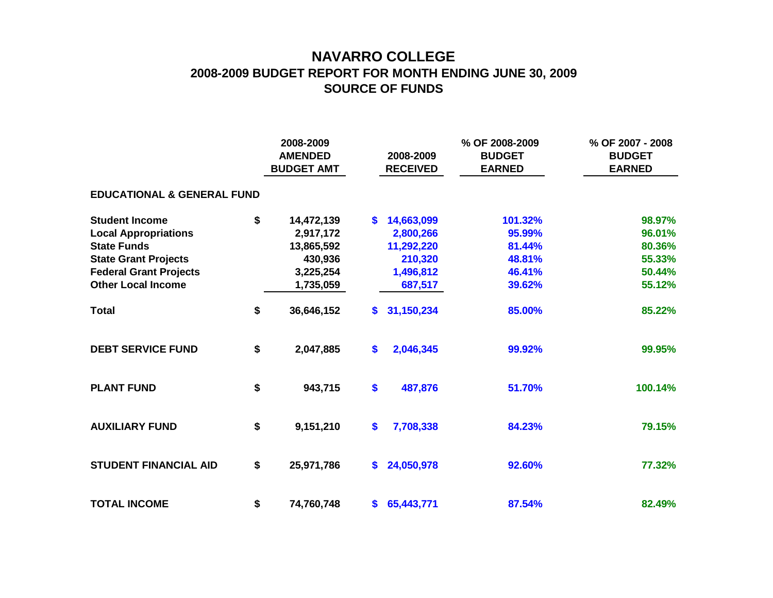## **NAVARRO COLLEGE 2008-2009 BUDGET REPORT FOR MONTH ENDING JUNE 30, 2009 SOURCE OF FUNDS**

|                                       | 2008-2009<br><b>AMENDED</b><br><b>BUDGET AMT</b> |     | 2008-2009<br><b>RECEIVED</b> | % OF 2008-2009<br><b>BUDGET</b><br><b>EARNED</b> | % OF 2007 - 2008<br><b>BUDGET</b><br><b>EARNED</b> |
|---------------------------------------|--------------------------------------------------|-----|------------------------------|--------------------------------------------------|----------------------------------------------------|
| <b>EDUCATIONAL &amp; GENERAL FUND</b> |                                                  |     |                              |                                                  |                                                    |
| <b>Student Income</b>                 | \$<br>14,472,139                                 | S.  | 14,663,099                   | 101.32%                                          | 98.97%                                             |
| <b>Local Appropriations</b>           | 2,917,172                                        |     | 2,800,266                    | 95.99%                                           | 96.01%                                             |
| <b>State Funds</b>                    | 13,865,592                                       |     | 11,292,220                   | 81.44%                                           | 80.36%                                             |
| <b>State Grant Projects</b>           | 430,936                                          |     | 210,320                      | 48.81%                                           | 55.33%                                             |
| <b>Federal Grant Projects</b>         | 3,225,254                                        |     | 1,496,812                    | 46.41%                                           | 50.44%                                             |
| <b>Other Local Income</b>             | 1,735,059                                        |     | 687,517                      | 39.62%                                           | 55.12%                                             |
| <b>Total</b>                          | \$<br>36,646,152                                 | S.  | 31,150,234                   | 85.00%                                           | 85.22%                                             |
| <b>DEBT SERVICE FUND</b>              | \$<br>2,047,885                                  | \$  | 2,046,345                    | 99.92%                                           | 99.95%                                             |
| <b>PLANT FUND</b>                     | \$<br>943,715                                    | \$  | 487,876                      | 51.70%                                           | 100.14%                                            |
| <b>AUXILIARY FUND</b>                 | \$<br>9,151,210                                  | \$  | 7,708,338                    | 84.23%                                           | 79.15%                                             |
| <b>STUDENT FINANCIAL AID</b>          | \$<br>25,971,786                                 | \$. | 24,050,978                   | 92.60%                                           | 77.32%                                             |
| <b>TOTAL INCOME</b>                   | \$<br>74,760,748                                 |     | \$65,443,771                 | 87.54%                                           | 82.49%                                             |